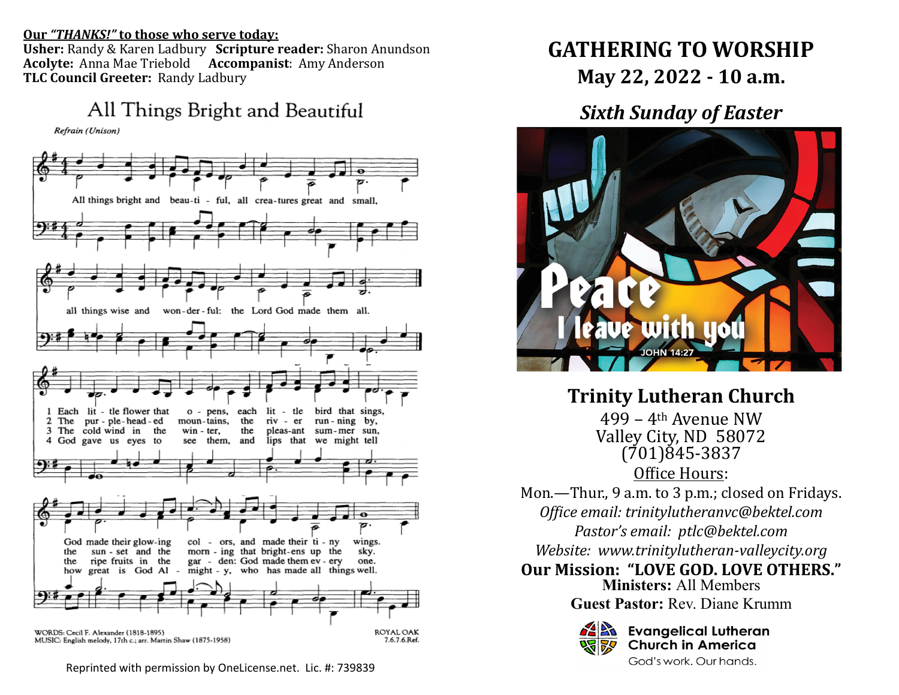#### **Our** *"THANKS!"* **to those who serve today:**

**Usher:** Randy & Karen Ladbury **Scripture reader:** Sharon Anundson **Acolyte:** Anna Mae Triebold **Accompanist**: Amy Anderson **TLC Council Greeter:** Randy Ladbury

All Things Bright and Beautiful

Refrain (Unison)



MUSIC: English melody, 17th c.; arr. Martin Shaw (1875-1958)

Reprinted with permission by OneLicense.net. Lic. #: 739839

# **GATHERING TO WORSHIP May 22, 2022 - 10 a.m.**

## *Sixth Sunday of Easter*



**Trinity Lutheran Church** 499 – 4th Avenue NW Valley City, ND 58072 (701)845-3837

Office Hours:

Mon.—Thur., 9 a.m. to 3 p.m.; closed on Fridays. *Office email: trinitylutheranvc@bektel.com Pastor's email: ptlc@bektel.com Website: www.trinitylutheran-valleycity.org*

**Our Mission: "LOVE GOD. LOVE OTHERS."**

**Ministers:** All Members **Guest Pastor:** Rev. Diane Krumm



**Evangelical Lutheran Church in America** God's work. Our hands.